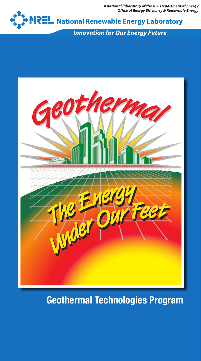A national laboratory of the U.S. Department of Energy<br>Office of Energy Efficiency & Renewable Energy



**Innovation for Our Energy Future** 



## Geothermal Technologies Program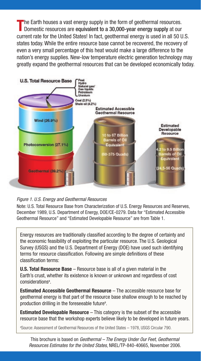The Earth houses a vast energy supply in the form of geothermal resources.<br>Domestic resources are equivalent to a 30,000-year energy supply at our current rate for the United States! In fact, geothermal energy is used in all 50 U.S. states today. While the entire resource base cannot be recovered, the recovery of even a very small percentage of this heat would make a large difference to the nation's energy supplies. New-low temperature electric generation technology may greatly expand the geothermal resources that can be developed economically today.





Note: U.S. Total Resource Base from Characterization of U.S. Energy Resources and Reserves, December 1989, U.S. Department of Energy, DOE/CE-0279. Data for "Estimated Accessible Geothermal Resource" and "Estimated Developable Resource" are from Table 1.

Energy resources are traditionally classified according to the degree of certainty and the economic feasibility of exploiting the particular resource. The U.S. Geological Survey (USGS) and the U.S. Department of Energy (DOE) have used such identifying terms for resource classification. Following are simple definitions of these classification terms:

**U.S. Total Resource Base** – Resource base is all of a given material in the Earth's crust, whether its existence is known or unknown and regardless of cost considerations<sup>a</sup>.

Estimated Accessible Geothermal Resource – The accessible resource base for geothermal energy is that part of the resource base shallow enough to be reached by production drilling in the foreseeable future<sup>a</sup>.

**Estimated Developable Resource** – This category is the subset of the accessible resource base that the workshop experts believe likely to be developed in future years.

a Source: Assessment of Geothermal Resources of the United States – 1978, USGS Circular 790.

This brochure is based on *Geothermal – The Energy Under Our Feet, Geothermal Resources Estimates for the United States*, NREL/TP-840-40665, November 2006.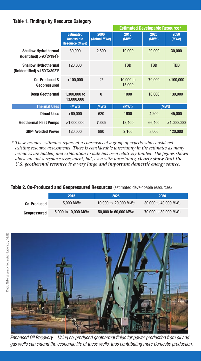#### Table 1. Findings by Resource Category

|                                                                                 |                                                                |                      | <b>Estimated Developable Resource*</b> |               |               |
|---------------------------------------------------------------------------------|----------------------------------------------------------------|----------------------|----------------------------------------|---------------|---------------|
|                                                                                 | <b>Estimated</b><br><b>Accessible</b><br><b>Resource (MWe)</b> | 2006<br>(Actual MWe) | 2015<br>(MWe)                          | 2025<br>(MWe) | 2050<br>(MWe) |
| <b>Shallow Hydrothermal</b><br>(Identified) $>90^{\circ}$ C/194 $^{\circ}$ F    | 30,000                                                         | 2,800                | 10,000                                 | 20,000        | 30,000        |
| <b>Shallow Hydrothermal</b><br>(Unidentified) $>150^{\circ}$ C/302 $^{\circ}$ F | 120,000                                                        |                      | <b>TBD</b>                             | <b>TBD</b>    | <b>TBD</b>    |
| Co-Produced &<br>Geopressured                                                   | >100,000                                                       | $2^3$                | 10,000 to<br>15,000                    | 70,000        | >100,000      |
| <b>Deep Geothermal</b>                                                          | 1,300,000 to<br>13,000,000                                     | $\bf{0}$             | 1000                                   | 10,000        | 130,000       |
| <b>Thermal Uses</b>                                                             | (MWt)                                                          | (MWt)                | (MWt)                                  | (MWt)         |               |
| <b>Direct Uses</b>                                                              | >60,000                                                        | 620                  | 1600                                   | 4,200         | 45,000        |
| <b>Geothermal Heat Pumps</b>                                                    | >1,000,000                                                     | 7,385                | 18,400                                 | 66,400        | >1,000,000    |
| <b>GHP<sup>6</sup> Avoided Power</b>                                            | 120,000                                                        | 880                  | 2,100                                  | 8,000         | 120,000       |

\* *These resource estimates represent a consensus of a group of experts who considered existing resource assessments. There is considerable uncertainty in the estimates as many resources are hidden, and exploration to date has been relatively limited. The figures shown above are not a resource assessment, but, even with uncertainty, clearly show that the U.S. geothermal resource is a very large and important domestic energy source.*

#### Table 2. Co-Produced and Geopressured Resources (estimated developable resources)

|                    | 2015                | 2025                 | 2050                 |
|--------------------|---------------------|----------------------|----------------------|
| <b>Co-Produced</b> | 5,000 MWe           | 10,000 to 20,000 MWe | 30,000 to 40,000 MWe |
| Geopressured       | 5,000 to 10,000 MWe | 50,000 to 60,000 MWe | 70,000 to 80,000 MWe |



*Enhanced Oil Recovery – Using co-produced geothermal fluids for power production from oil and gas wells can extend the economic life of these wells, thus contributing more domestic production.*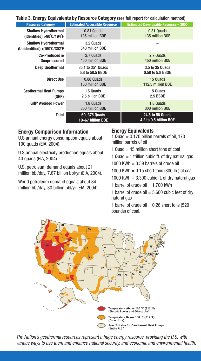Table 3. Energy Equivalents by Resource Category (see full report for calculation method)

| <b>Resource Category</b>                                                     | <b>Estimated Accessible Resource</b>  | <b>Estimated Developable Resource - 2050</b> |  |
|------------------------------------------------------------------------------|---------------------------------------|----------------------------------------------|--|
| <b>Shallow Hydrothermal</b><br>(Identified) $>90^{\circ}$ C/194 $^{\circ}$ F | 0.81 Quads<br>135 million BOE         | 0.81 Quads<br>135 million BOE                |  |
| <b>Shallow Hydrothermal</b><br>(Unidentified) >150°C/302°F                   | 3.2 Quads<br>540 million BOE          |                                              |  |
| Co-Produced &<br>Geopressured                                                | 2.7 Quads<br>450 million BOE          | 2.7 Quads<br>450 million BOE                 |  |
| <b>Deep Geothermal</b>                                                       | 35.1 to 351 Quads<br>5.8 to 58.5 BBOE | 3.5 to 35 Quads<br>0.58 to 5.8 BBOE          |  |
| <b>Direct Use</b>                                                            | 0.88 Quads<br>150 million BOE         | 15 Quads<br>112.5 million BOE                |  |
| <b>Geothermal Heat Pumps</b><br>(GHP)                                        | 15 Quads<br>2.5 billion BOE           | 15 Quads<br>2.5 BB0E                         |  |
| <b>GHP<sup>6</sup> Avoided Power</b>                                         | 1.8 Quads<br>300 million BOE          | 1.8 Quads<br>300 million BOE                 |  |
| Total                                                                        | 60-375 Quads<br>10-67 billion BOE     | 24.5 to 56 Quads<br>4.2 to 9.5 billion BOE   |  |

#### Energy Comparison Information

U.S annual energy consumption equals about 100 quads (EIA, 2004).

U.S annual electricity production equals about 40 quads (EIA, 2004).

U.S. petroleum demand equals about 21 million bbl/day, 7.67 billion bbl/yr (EIA, 2004).

World petroleum demand equals about 84 million bbl/day, 30 billion bbl/yr (EIA, 2004).

#### Energy Equivalents

1 Quad  $= 0.170$  billion barrels of oil, 170 million barrels of oil

1 Quad  $=$  45 million short tons of coal

1 Quad  $=$  1 trillion cubic ft. of dry natural gas

1000 KWh  $= 0.59$  barrels of crude oil

1000 KWh  $= 0.15$  short tons (300 lb.) of coal

1000 KWh  $= 3,300$  cubic ft. of dry natural gas

1 barrel of crude oil  $= 1.700$  kWh

1 barrel of crude oil  $= 5,600$  cubic feet of dry natural gas

1 barrel of crude oil  $= 0.26$  short tons (520 pounds) of coal.



*The Nation's geothermal resources represent a huge energy resource, providing the U.S. with various ways to use them and enhance national security, and economic and environmental health.*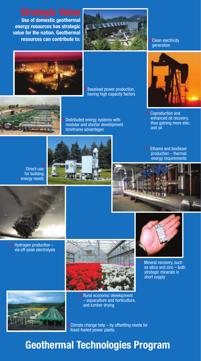Use of domestic geothermal energy resources has strategic value for the nation. Geothermal



generation



Baseload power production, having high capacity factors





**I** Distributed energy systems with modular and shorter development timeframe advantages

Coproduction and enhanced oil recovery, thus gaining more elec.

and oil

Direct-use for building energy needs



**Ethanol and biodiesel** production – thermal energy requirements



 $\triangle$  Hydrogen production via off-peak electrolysis





**A** Mineral recovery, such as silica and zinc – both strategic minerals in short supply



▲ Rural economic development – aquaculture and horticulture, and lumber drying

**Climate change help - by offsetting needs for** fossil-fueled power plants

# Geothermal Technologies Program